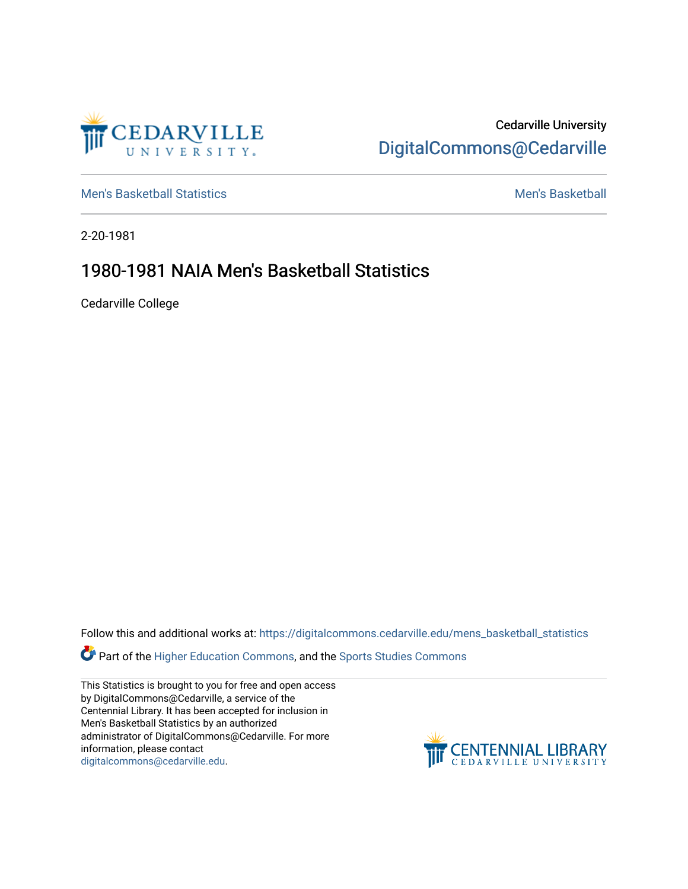

Cedarville University [DigitalCommons@Cedarville](https://digitalcommons.cedarville.edu/) 

[Men's Basketball Statistics](https://digitalcommons.cedarville.edu/mens_basketball_statistics) [Men's Basketball](https://digitalcommons.cedarville.edu/mens_basketball) 

2-20-1981

## 1980-1981 NAIA Men's Basketball Statistics

Cedarville College

Follow this and additional works at: [https://digitalcommons.cedarville.edu/mens\\_basketball\\_statistics](https://digitalcommons.cedarville.edu/mens_basketball_statistics?utm_source=digitalcommons.cedarville.edu%2Fmens_basketball_statistics%2F384&utm_medium=PDF&utm_campaign=PDFCoverPages) 

Part of the [Higher Education Commons,](http://network.bepress.com/hgg/discipline/1245?utm_source=digitalcommons.cedarville.edu%2Fmens_basketball_statistics%2F384&utm_medium=PDF&utm_campaign=PDFCoverPages) and the [Sports Studies Commons](http://network.bepress.com/hgg/discipline/1198?utm_source=digitalcommons.cedarville.edu%2Fmens_basketball_statistics%2F384&utm_medium=PDF&utm_campaign=PDFCoverPages) 

This Statistics is brought to you for free and open access by DigitalCommons@Cedarville, a service of the Centennial Library. It has been accepted for inclusion in Men's Basketball Statistics by an authorized administrator of DigitalCommons@Cedarville. For more information, please contact [digitalcommons@cedarville.edu](mailto:digitalcommons@cedarville.edu).

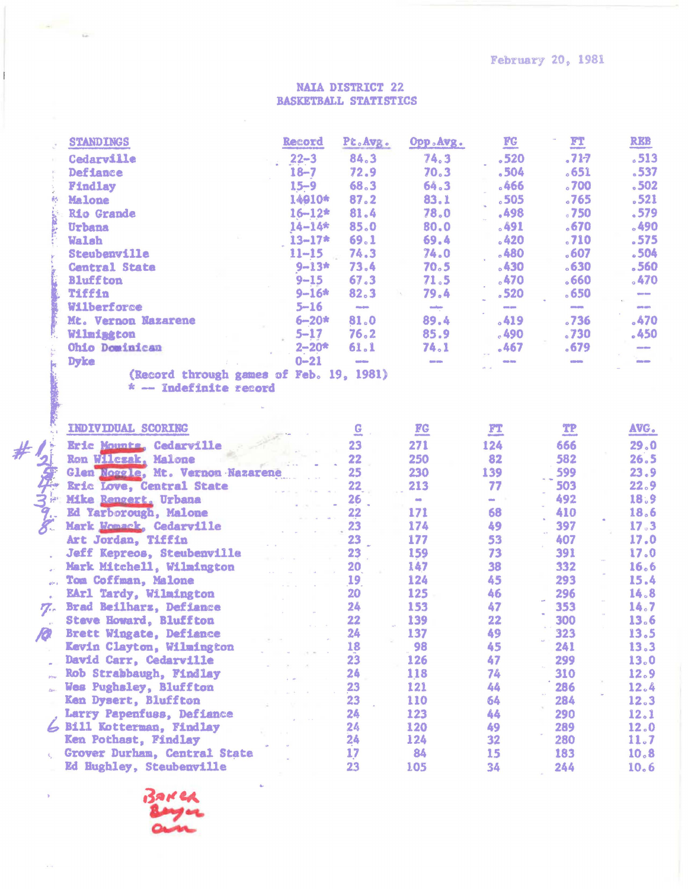**February 20, 1981** 

## **NAIA DISTRICT 22 BASKETBALL STATISTICS**

|                                   | <b>STANDINGS</b>                                 | Record     | Pt.Avg.           | Opp.Avg.                                                                                                                        | $\underline{\mathbf{FC}}$ | $\mathbf{r}$      | <b>REB</b>        |
|-----------------------------------|--------------------------------------------------|------------|-------------------|---------------------------------------------------------------------------------------------------------------------------------|---------------------------|-------------------|-------------------|
|                                   | Cedarville                                       | $22 - 3$   | 84.3              | 74.3                                                                                                                            | .520                      | .717              | .513              |
|                                   | <b>Defiance</b>                                  | $18 - 7$   | 72.9              | 70.3                                                                                                                            | .504                      | 0.651             | $-537$            |
|                                   | <b>Findlay</b>                                   | $15 - 9$   | 68.3              | 64.3                                                                                                                            | $-466$                    | .700              | .502              |
| 酰                                 | Malone                                           | 14010*     | 87.2              | 83.1                                                                                                                            | 505                       | .765              | .521              |
|                                   | <b>Rio Grande</b>                                | $16 - 12*$ | 81.4              | 78.0                                                                                                                            | .498                      | .750              | .579              |
|                                   | Urbana                                           | $14 - 14*$ | 85.0              | 80.0                                                                                                                            | $-491$                    | .670              | .490              |
|                                   | <b>Walsh</b>                                     | $13 - 17*$ | 69.1              | 69.4                                                                                                                            | .420                      | .710              | .575              |
|                                   | Steubenville                                     | $11 - 15$  | 74.3              | 74.0                                                                                                                            | .480                      | .607              | .504              |
|                                   | <b>Central State</b>                             | $9 - 13*$  | 73.4              | 70.5                                                                                                                            | .430                      | .630              | .560              |
|                                   | <b>Bluffton</b>                                  | $9 - 15$   | 67.3              | 71.5                                                                                                                            | .470                      | 0.660             | .470              |
|                                   | Tiffin                                           | $9 - 16*$  | 82.3              | 79.4                                                                                                                            | .520                      | .650              | <b>Gary Gary</b>  |
|                                   | Wilberforce                                      | $5 - 16$   | <b>PERSONAL</b>   | $\label{eq:1} \frac{\partial \mathbf{u}(\mathbf{u})}{\partial \mathbf{u}} = \frac{1}{2} \sum_{i=1}^n \mathbf{u}_i \mathbf{u}_i$ | <b>COLOR</b>              | <b>CONTRACTOR</b> | <b>CONTROL</b>    |
|                                   | Mt. Vernon Nazarene                              | $6 - 20*$  | 81.0              | 89.4                                                                                                                            | .419                      | .736              | .470              |
|                                   | Wilmington                                       | $5 - 17$   | 76.2              | 85.9                                                                                                                            | .490                      | .730              | .450              |
|                                   | Ohio Dominican                                   | $2 - 20*$  | 61.1              | 74.1                                                                                                                            | .467                      | .679              | <b>CONTRACTOR</b> |
|                                   | <b>Dyke</b>                                      | $0 - 21$   | <b>CONTRACTOR</b> | days page                                                                                                                       | deb deb                   | <b>CONTROL</b>    | <b>CONTRACTOR</b> |
|                                   | (Record through games of Feb. 19, 1981)          |            |                   |                                                                                                                                 |                           |                   |                   |
|                                   | * -- Indefinite record                           |            |                   |                                                                                                                                 |                           |                   |                   |
|                                   |                                                  |            |                   |                                                                                                                                 |                           |                   |                   |
|                                   |                                                  |            |                   |                                                                                                                                 |                           |                   |                   |
|                                   | INDIVIDUAL SCORING                               |            |                   | $\underline{FC}$                                                                                                                | $\mathbf{r}$              | $\mathbf{T}$      | AVG.              |
|                                   | Eric Mounta, Cedarville                          |            | 23                | 271                                                                                                                             | 124                       | 666               | 29.0              |
|                                   | Ron Wilcsak, Malone                              |            | 22                | 250                                                                                                                             | 82                        | 582               | 26.5              |
|                                   | Glen Noggle, Mt. Vernon Nazarene                 |            | 25                | 230                                                                                                                             | 139                       | 599               | 23.9              |
|                                   | <b>Eric Love, Central State</b>                  |            | 22 <sub>2</sub>   | 213                                                                                                                             | 77                        | 503               | 22.9              |
|                                   | Mike Rengert, Urbana                             |            | 26                | <b>con-</b>                                                                                                                     | <b>COL</b>                | 492               | 18.9              |
|                                   | Ed Yarborough, Malone                            |            | 22                | 171                                                                                                                             | 68                        | 410               | 18.6              |
|                                   | Mark Womack, Cedarville                          |            | 23                | 174                                                                                                                             | 49                        | 397               | 17.3              |
|                                   | Art Jordan, Tiffin                               |            | 23                | 177                                                                                                                             | 53                        | 407               | 17.0              |
|                                   | <b>Jeff Kepreos, Steubenville</b>                |            | 23                | 159                                                                                                                             | 73                        | 391               | 17.0              |
|                                   |                                                  |            | 20                | 147                                                                                                                             | 38                        | 332               | 16.6              |
|                                   | Mark Mitchell, Wilmington<br>Tom Coffman, Malone |            |                   | 124                                                                                                                             | 45                        | 293               | 15.4              |
| $\mathfrak{g}^{\mathrm{cav}}$ and |                                                  |            | 19<br>20          | $125 -$                                                                                                                         | 46                        | 296               | 14.8              |
|                                   | EArl Tardy, Wilmington                           |            | 24                | 153                                                                                                                             | 47                        | 353               | 14.7              |
| $\mathbf{Z}$                      | Brad Beilharz, Defiance                          |            | 22                | 139                                                                                                                             | 22                        | 300               |                   |
|                                   | <b>Steve Howard, Bluffton</b>                    |            |                   |                                                                                                                                 |                           |                   | 13.6              |
| 10                                | Brett Wingate, Defiance                          |            | 24<br>18          | 137                                                                                                                             | 49                        | 323               | 13.5              |
|                                   | Kevin Clayton, Wilmington                        |            | 23                | 98                                                                                                                              | 45<br>47                  | 241               | 13.3              |
|                                   | David Carr, Cedarville                           |            |                   | 126                                                                                                                             |                           | 299               | 13.0              |
|                                   | Rob Strabbaugh, Findlay                          |            | 24                | 118                                                                                                                             | 74                        | 310               | 12.9              |
|                                   | Wes Pughsley, Bluffton                           |            | 23                | 121                                                                                                                             | 44                        | 286               | 12.4              |
|                                   | Ken Dysert, Bluffton                             |            | 23                | 110                                                                                                                             | 64                        | 284               | 12.3              |
|                                   | Larry Papenfuss, Defiance                        |            | 24                | 123                                                                                                                             | 44                        | 290               | 12.1              |
|                                   | 6 Bill Kotterman, Findlay                        |            | 24                | 120                                                                                                                             | 49                        | 289               | 12.0              |
|                                   | Ken Pothast, Findlay                             |            | 24                | 124                                                                                                                             | 32                        | 280               | 11.7              |
|                                   | Grover Durham, Central State                     |            | 17                | 84                                                                                                                              | 15                        | 183               | 10.8              |
|                                   | Ed Hughley, Steubenville                         |            | 23                | 105                                                                                                                             | 34                        | 244               | 10.6              |

BAKER